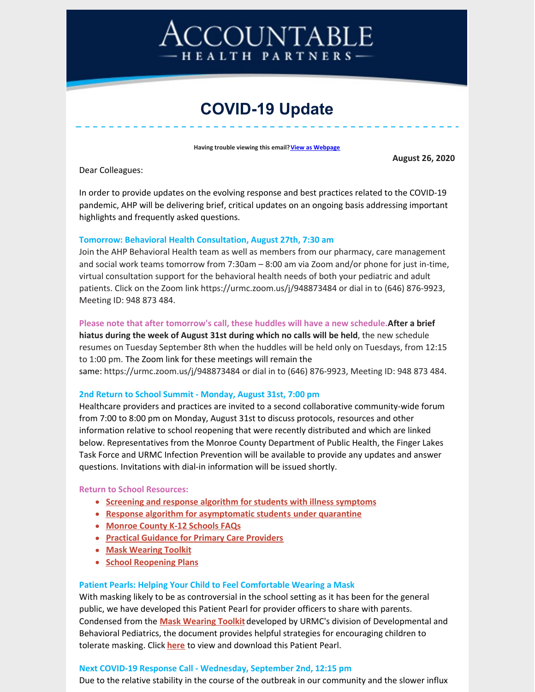# COUNTABLE HEALTH PARTNERS-

# **COVID-19 Update**

**Having trouble viewing this email? View as [Webpage](http://campaign.r20.constantcontact.com/render?ca=013aab79-58e8-4f2e-9f20-5658fd456d34&preview=true&m=1116358108777&id=preview)** 

**August 26, 2020**

Dear Colleagues:

In order to provide updates on the evolving response and best practices related to the COVID-19 pandemic, AHP will be delivering brief, critical updates on an ongoing basis addressing important highlights and frequently asked questions.

#### **Tomorrow: Behavioral Health Consultation, August 27th, 7:30 am**

Join the AHP Behavioral Health team as well as members from our pharmacy, care management and social work teams tomorrow from 7:30am – 8:00 am via Zoom and/or phone for just in-time, virtual consultation support for the behavioral health needs of both your pediatric and adult patients. Click on the Zoom link https://urmc.zoom.us/j/948873484 or dial in to (646) 876-9923, Meeting ID: 948 873 484.

#### **Please note that after tomorrow's call, these huddles will have a new schedule.After a brief**

**hiatus during the week of August 31st during which no calls will be held**, the new schedule resumes on Tuesday September 8th when the huddles will be held only on Tuesdays, from 12:15 to 1:00 pm. The Zoom link for these meetings will remain the same: https://urmc.zoom.us/j/948873484 or dial in to (646) 876-9923, Meeting ID: 948 873 484.

#### **2nd Return to School Summit - Monday, August 31st, 7:00 pm**

Healthcare providers and practices are invited to a second collaborative community-wide forum from 7:00 to 8:00 pm on Monday, August 31st to discuss protocols, resources and other information relative to school reopening that were recently distributed and which are linked below. Representatives from the Monroe County Department of Public Health, the Finger Lakes Task Force and URMC Infection Prevention will be available to provide any updates and answer questions. Invitations with dial-in information will be issued shortly.

#### **Return to School Resources:**

- **Screening and response algorithm for students with illness [symptoms](https://ahpnetwork.com/wp-content/uploads/2020/08/2020.08.24-FLOWCHART-Student-Screens-Positive.pdf)**
- **Response algorithm for [asymptomatic](https://ahpnetwork.com/wp-content/uploads/2020/08/2020.08.24-FLOWCHART-Student-Placed-in-MQ.pdf) studen[ts](https://ahpnetwork.com/wp-content/uploads/2020/08/2020.08.24-FLOWCHART-Student-Placed-in-MQ.pdf) under quarantine**
- **[Monroe](https://ahpnetwork.com/wp-content/uploads/2020/08/2020.08.24-COVID19-FAQ-schools.v3.pdf) County K-12 Schools FAQs**
- **Practical Guidance for Primary Care [Providers](https://ahpnetwork.com/wp-content/uploads/2020/08/Practical-Guidance-for-Primary-Care-Providers.pdf)**
- **Mask [Wearing](https://ahpnetwork.com/wp-content/uploads/2020/08/Mask-Wearing-Toolkit-Updated-8.19.20.pdf) Toolkit**
- **School [Reopening](https://ahpnetwork.com/wp-content/uploads/2020/08/School-Reopening-Plans-Summary.pdf) Plans**

#### **Patient Pearls: Helping Your Child to Feel Comfortable Wearing a Mask**

With masking likely to be as controversial in the school setting as it has been for the general public, we have developed this Patient Pearl for provider officers to share with parents. Condensed from the **Mask [Wearing](https://ahpnetwork.com/wp-content/uploads/2020/08/Mask-Wearing-Toolkit-Updated-8.19.20.pdf) Toolkit** developed by URMC's division of Developmental and Behavioral Pediatrics, the document provides helpful strategies for encouraging children to tolerate masking. Click **[here](https://ahpnetwork.com/patient-pearls-helping-your-child-to-feel-comfortable-wearing-a-mask/)** to view and download this Patient Pearl.

#### **Next COVID-19 Response Call - Wednesday, September 2nd, 12:15 pm**

Due to the relative stability in the course of the outbreak in our community and the slower influx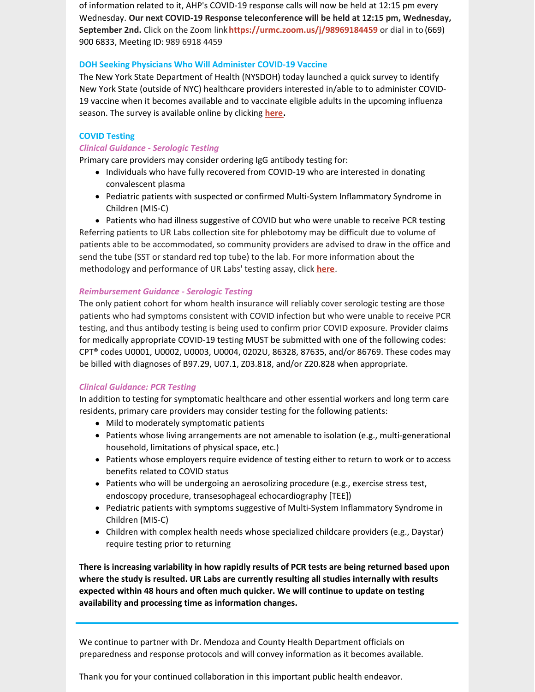of information related to it, AHP's COVID-19 response calls will now be held at 12:15 pm every Wednesday. **Our next COVID-19 Response teleconference will be held at 12:15 pm, Wednesday, September 2nd.** Click on the Zoom link**<https://urmc.zoom.us/j/98969184459>** or dial in to (669) 900 6833, Meeting ID: 989 6918 4459

#### **DOH Seeking Physicians Who Will Administer COVID-19 Vaccine**

The New York State Department of Health (NYSDOH) today launched a quick survey to identify New York State (outside of NYC) healthcare providers interested in/able to to administer COVID-19 vaccine when it becomes available and to vaccinate eligible adults in the upcoming influenza season. The survey is available online by [clicking](https://mcms.org/EmailTracker/LinkTracker.ashx?linkAndRecipientCode=d3D1a%2bDDWAjxTvOHimczJdCQNkTJfgj7P%2bcj%2btmFTAYEoYflNlixzmyQYqJknxSxwf1Qb86XGL2TvcQQfkEMJkYmtUBzCvnOAq7a2F4keb0%3d) **[here.](https://mcms.org/EmailTracker/LinkTracker.ashx?linkAndRecipientCode=d3D1a%2bDDWAjxTvOHimczJdCQNkTJfgj7P%2bcj%2btmFTAYEoYflNlixzmyQYqJknxSxwf1Qb86XGL2TvcQQfkEMJkYmtUBzCvnOAq7a2F4keb0%3d)**

#### **COVID Testing**

#### *Clinical Guidance - Serologic Testing*

Primary care providers may consider ordering IgG antibody testing for:

- Individuals who have fully recovered from COVID-19 who are interested in donating convalescent plasma
- Pediatric patients with suspected or confirmed Multi-System Inflammatory Syndrome in Children (MIS-C)

• Patients who had illness suggestive of COVID but who were unable to receive PCR testing Referring patients to UR Labs collection site for phlebotomy may be difficult due to volume of patients able to be accommodated, so community providers are advised to draw in the office and send the tube (SST or standard red top tube) to the lab. For more information about the methodology and performance of UR Labs' testing assay, click **[here](https://ahpnetwork.com/ur-labs-antibody-testing-methodology-and-performance/)**.

#### *Reimbursement Guidance - Serologic Testing*

The only patient cohort for whom health insurance will reliably cover serologic testing are those patients who had symptoms consistent with COVID infection but who were unable to receive PCR testing, and thus antibody testing is being used to confirm prior COVID exposure. Provider claims for medically appropriate COVID-19 testing MUST be submitted with one of the following codes: CPT® codes U0001, U0002, U0003, U0004, 0202U, 86328, 87635, and/or 86769. These codes may be billed with diagnoses of B97.29, U07.1, Z03.818, and/or Z20.828 when appropriate.

### *Clinical Guidance: PCR Testing*

In addition to testing for symptomatic healthcare and other essential workers and long term care residents, primary care providers may consider testing for the following patients:

- Mild to moderately symptomatic patients
- Patients whose living arrangements are not amenable to isolation (e.g., multi-generational household, limitations of physical space, etc.)
- Patients whose employers require evidence of testing either to return to work or to access benefits related to COVID status
- Patients who will be undergoing an aerosolizing procedure (e.g., exercise stress test, endoscopy procedure, transesophageal echocardiography [TEE])
- Pediatric patients with symptoms suggestive of Multi-System Inflammatory Syndrome in Children (MIS-C)
- Children with complex health needs whose specialized childcare providers (e.g., Daystar) require testing prior to returning

**There is increasing variability in how rapidly results of PCR tests are being returned based upon where the study is resulted. UR Labs are currently resulting all studies internally with results expected within 48 hours and often much quicker. We will continue to update on testing availability and processing time as information changes.**

We continue to partner with Dr. Mendoza and County Health Department officials on preparedness and response protocols and will convey information as it becomes available.

Thank you for your continued collaboration in this important public health endeavor.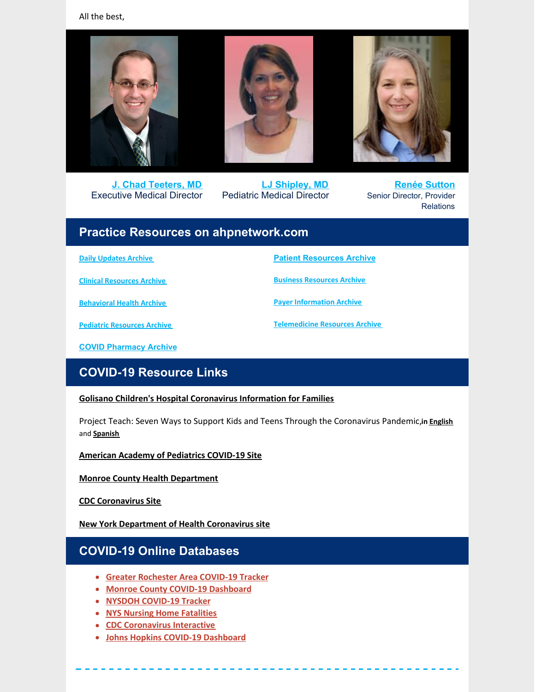All the best,



**J. Chad [Teeters,](mailto:john_teeters@urmc.rochester.edu) MD** Executive Medical Director



**LJ [Shipley,](mailto:Laura_shipley@urmc.rochester.edu) MD** Pediatric Medical Director



**Renée [Sutton](mailto:renee_sutton@urmc.rochester.edu)** Senior Director, Provider Relations

### **Practice Resources on ahpnetwork.com**

**Daily [Updates](https://ahpnetwork.com/category/news/covid-19/daily-updates/) Archive**

**Clinical [Resources](https://ahpnetwork.com/category/news/covid-19/clinical-resources/) Archive**

**[Behavioral](https://ahpnetwork.com/category/news/covid-19/behavioral-health/) Health Archive**

**Patient [Resources](https://ahpnetwork.com/category/news/covid-19/patient-resources/) Archive Business [Resources](https://ahpnetwork.com/category/news/covid-19/business-resources/) Archive**

**Payer [Information](https://ahpnetwork.com/category/news/covid-19/payer-information/) Archive**

**[Telemedicine](https://ahpnetwork.com/category/news/covid-19/telemedicine-resources/) Resources Archive**

**Pediatric [Resources](https://ahpnetwork.com/category/news/covid-19/covid-pediatrics/) Archive**

**COVID [Pharmacy](https://ahpnetwork.com/category/news/covid-19/pharmacy/) Archive**

# **COVID-19 Resource Links**

#### **Golisano Children's Hospital [Coronavirus](https://www.urmc.rochester.edu/childrens-hospital/coronavirus-information-for-families.aspx) Information for Families**

Project Teach: Seven Ways to Support Kids and Teens Through the Coronavirus Pandemic,**in [English](https://www.mghclaycenter.org/hot-topics/7-ways-to-support-kids-and-teens-through-the-coronavirus-pandemic/)** and **[Spanish](https://www.mghclaycenter.org/hot-topics/7-maneras-de-apoyar-a-ninos-y-adolescentes-durante-la-pandemia-del-coronavirus/)**

**American Academy of [Pediatrics](https://services.aap.org/en/pages/2019-novel-coronavirus-covid-19-infections/) COVID-19 Site**

**Monroe County Health [Department](https://www2.monroecounty.gov/health-coronavirus)**

**CDC [Coronavirus](https://www.cdc.gov/coronavirus/2019-nCoV/index.html) Site**

**New York [Department](https://www.health.ny.gov/diseases/communicable/coronavirus/) of Health Coronavirus site**

# **COVID-19 Online Databases**

- **Greater [Rochester](https://chet-rochester.shinyapps.io/covid-19-dashboard/) Area COVID-19 Tracker**
- **Monroe County COVID-19 [Dashboard](http://dashboard.monroecounty.gov/)**
- **NYSDOH [COVID-19](https://www.ny.gov/covid-19tracker) Tracker**
- **NYS Nursing Home [Fatalities](https://www.health.ny.gov/statistics/diseases/covid-19/fatalities_nursing_home_acf.pdf)**
- **CDC [Coronavirus](https://www.cdc.gov/coronavirus-interactive/index.html) Interactive**
- **Johns Hopkins COVID-19 [Dashboard](https://coronavirus.jhu.edu/map.html)**